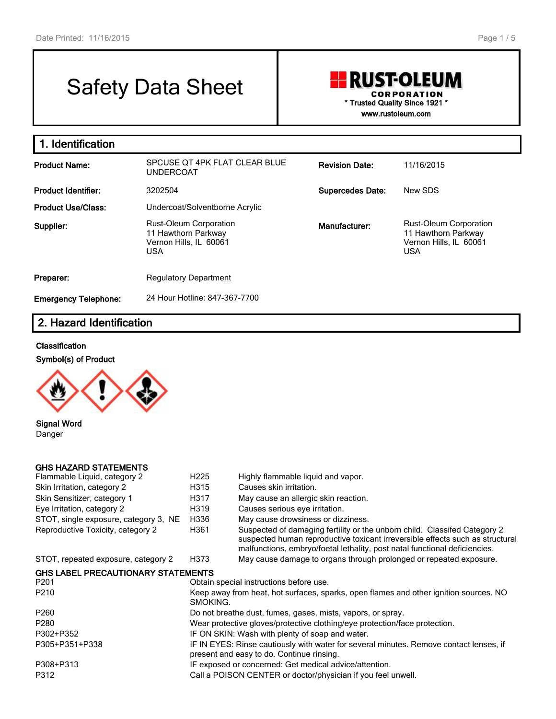# Safety Data Sheet

# **RUST-OLEUM CORPORATION \* Trusted Quality Since 1921 \* www.rustoleum.com**

**1. Identification Product Name:** SPCUSE QT 4PK FLAT CLEAR BLUE UNDERCOAT **Revision Date:** 11/16/2015 **Product Identifier:** 3202504 **Supercedes Date:** New SDS **Product Use/Class:** Undercoat/Solventborne Acrylic **Supplier:** Rust-Oleum Corporation 11 Hawthorn Parkway Vernon Hills, IL 60061 USA **Manufacturer:** Rust-Oleum Corporation 11 Hawthorn Parkway Vernon Hills, IL 60061 USA **Preparer:** Regulatory Department **Emergency Telephone:** 24 Hour Hotline: 847-367-7700

# **2. Hazard Identification**

### **Classification**





**Signal Word** Danger

## **GHS HAZARD STATEMENTS**

| Flammable Liquid, category 2              | H <sub>225</sub> | Highly flammable liquid and vapor.                                                                                                                                                                                                       |  |  |  |  |
|-------------------------------------------|------------------|------------------------------------------------------------------------------------------------------------------------------------------------------------------------------------------------------------------------------------------|--|--|--|--|
| Skin Irritation, category 2               | H315             | Causes skin irritation.                                                                                                                                                                                                                  |  |  |  |  |
| Skin Sensitizer, category 1               | H317             | May cause an allergic skin reaction.                                                                                                                                                                                                     |  |  |  |  |
| Eye Irritation, category 2                | H319             | Causes serious eye irritation.                                                                                                                                                                                                           |  |  |  |  |
| STOT, single exposure, category 3, NE     | H336             | May cause drowsiness or dizziness.                                                                                                                                                                                                       |  |  |  |  |
| Reproductive Toxicity, category 2         | H361             | Suspected of damaging fertility or the unborn child. Classifed Category 2<br>suspected human reproductive toxicant irreversible effects such as structural<br>malfunctions, embryo/foetal lethality, post natal functional deficiencies. |  |  |  |  |
| STOT, repeated exposure, category 2       | H373             | May cause damage to organs through prolonged or repeated exposure.                                                                                                                                                                       |  |  |  |  |
| <b>GHS LABEL PRECAUTIONARY STATEMENTS</b> |                  |                                                                                                                                                                                                                                          |  |  |  |  |
| P201                                      |                  | Obtain special instructions before use.                                                                                                                                                                                                  |  |  |  |  |
| P210                                      | SMOKING.         | Keep away from heat, hot surfaces, sparks, open flames and other ignition sources. NO                                                                                                                                                    |  |  |  |  |
| P260                                      |                  | Do not breathe dust, fumes, gases, mists, vapors, or spray.                                                                                                                                                                              |  |  |  |  |
| P280                                      |                  | Wear protective gloves/protective clothing/eye protection/face protection.                                                                                                                                                               |  |  |  |  |
| P302+P352                                 |                  | IF ON SKIN: Wash with plenty of soap and water.                                                                                                                                                                                          |  |  |  |  |
| P305+P351+P338                            |                  | IF IN EYES: Rinse cautiously with water for several minutes. Remove contact lenses, if<br>present and easy to do. Continue rinsing.                                                                                                      |  |  |  |  |
| P308+P313                                 |                  | IF exposed or concerned: Get medical advice/attention.                                                                                                                                                                                   |  |  |  |  |
| P312                                      |                  | Call a POISON CENTER or doctor/physician if you feel unwell.                                                                                                                                                                             |  |  |  |  |
|                                           |                  |                                                                                                                                                                                                                                          |  |  |  |  |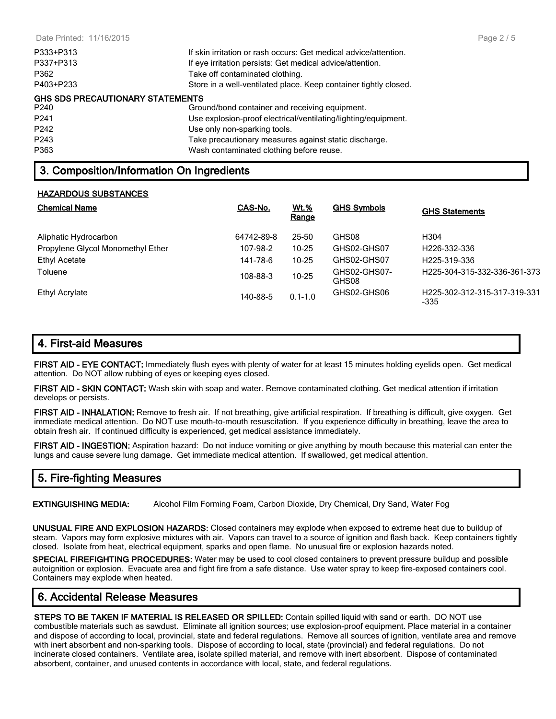| P333+P313                               | If skin irritation or rash occurs: Get medical advice/attention. |
|-----------------------------------------|------------------------------------------------------------------|
| P337+P313                               | If eye irritation persists: Get medical advice/attention.        |
| P362                                    | Take off contaminated clothing.                                  |
| P403+P233                               | Store in a well-ventilated place. Keep container tightly closed. |
| <b>GHS SDS PRECAUTIONARY STATEMENTS</b> |                                                                  |
| P240                                    | Ground/bond container and receiving equipment.                   |
| P <sub>241</sub>                        | Use explosion-proof electrical/ventilating/lighting/equipment.   |
| P <sub>242</sub>                        | Use only non-sparking tools.                                     |
| P243                                    | Take precautionary measures against static discharge.            |
| P363                                    | Wash contaminated clothing before reuse.                         |

# **3. Composition/Information On Ingredients**

### **HAZARDOUS SUBSTANCES**

| <b>Chemical Name</b>              | CAS-No.    | <u>Wt.%</u><br>Range | <b>GHS Symbols</b>    | <b>GHS Statements</b>                |
|-----------------------------------|------------|----------------------|-----------------------|--------------------------------------|
| Aliphatic Hydrocarbon             | 64742-89-8 | $25 - 50$            | GHS08                 | H304                                 |
| Propylene Glycol Monomethyl Ether | 107-98-2   | $10 - 25$            | GHS02-GHS07           | H <sub>226</sub> -332-336            |
| Ethyl Acetate                     | 141-78-6   | $10 - 25$            | GHS02-GHS07           | H <sub>225</sub> -319-336            |
| Toluene                           | 108-88-3   | $10 - 25$            | GHS02-GHS07-<br>GHS08 | H225-304-315-332-336-361-373         |
| <b>Ethyl Acrylate</b>             | 140-88-5   | $0.1 - 1.0$          | GHS02-GHS06           | H225-302-312-315-317-319-331<br>-335 |

# **4. First-aid Measures**

**FIRST AID - EYE CONTACT:** Immediately flush eyes with plenty of water for at least 15 minutes holding eyelids open. Get medical attention. Do NOT allow rubbing of eyes or keeping eyes closed.

**FIRST AID - SKIN CONTACT:** Wash skin with soap and water. Remove contaminated clothing. Get medical attention if irritation develops or persists.

**FIRST AID - INHALATION:** Remove to fresh air. If not breathing, give artificial respiration. If breathing is difficult, give oxygen. Get immediate medical attention. Do NOT use mouth-to-mouth resuscitation. If you experience difficulty in breathing, leave the area to obtain fresh air. If continued difficulty is experienced, get medical assistance immediately.

**FIRST AID - INGESTION:** Aspiration hazard: Do not induce vomiting or give anything by mouth because this material can enter the lungs and cause severe lung damage. Get immediate medical attention. If swallowed, get medical attention.

# **5. Fire-fighting Measures**

**EXTINGUISHING MEDIA:** Alcohol Film Forming Foam, Carbon Dioxide, Dry Chemical, Dry Sand, Water Fog

**UNUSUAL FIRE AND EXPLOSION HAZARDS:** Closed containers may explode when exposed to extreme heat due to buildup of steam. Vapors may form explosive mixtures with air. Vapors can travel to a source of ignition and flash back. Keep containers tightly closed. Isolate from heat, electrical equipment, sparks and open flame. No unusual fire or explosion hazards noted.

**SPECIAL FIREFIGHTING PROCEDURES:** Water may be used to cool closed containers to prevent pressure buildup and possible autoignition or explosion. Evacuate area and fight fire from a safe distance. Use water spray to keep fire-exposed containers cool. Containers may explode when heated.

# **6. Accidental Release Measures**

**STEPS TO BE TAKEN IF MATERIAL IS RELEASED OR SPILLED:** Contain spilled liquid with sand or earth. DO NOT use combustible materials such as sawdust. Eliminate all ignition sources; use explosion-proof equipment. Place material in a container and dispose of according to local, provincial, state and federal regulations. Remove all sources of ignition, ventilate area and remove with inert absorbent and non-sparking tools. Dispose of according to local, state (provincial) and federal regulations. Do not incinerate closed containers. Ventilate area, isolate spilled material, and remove with inert absorbent. Dispose of contaminated absorbent, container, and unused contents in accordance with local, state, and federal regulations.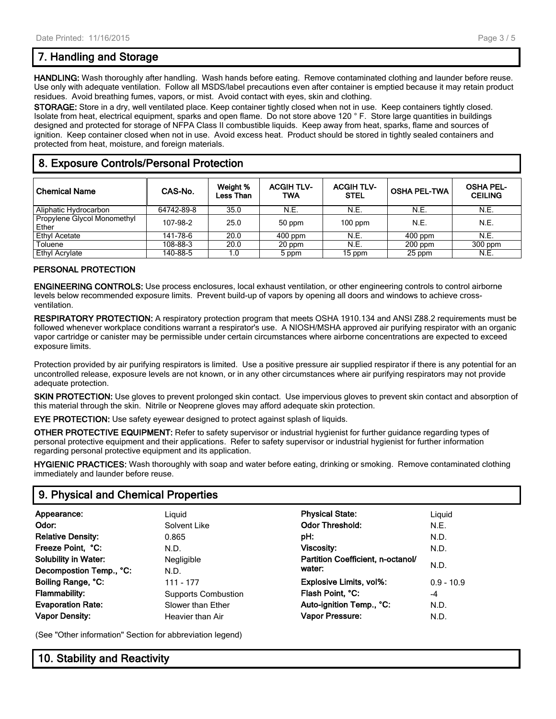# **7. Handling and Storage**

**HANDLING:** Wash thoroughly after handling. Wash hands before eating. Remove contaminated clothing and launder before reuse. Use only with adequate ventilation. Follow all MSDS/label precautions even after container is emptied because it may retain product residues. Avoid breathing fumes, vapors, or mist. Avoid contact with eyes, skin and clothing.

**STORAGE:** Store in a dry, well ventilated place. Keep container tightly closed when not in use. Keep containers tightly closed. Isolate from heat, electrical equipment, sparks and open flame. Do not store above 120 ° F. Store large quantities in buildings designed and protected for storage of NFPA Class II combustible liquids. Keep away from heat, sparks, flame and sources of ignition. Keep container closed when not in use. Avoid excess heat. Product should be stored in tightly sealed containers and protected from heat, moisture, and foreign materials.

# **8. Exposure Controls/Personal Protection**

| <b>Chemical Name</b>                 | CAS-No.    | Weight %<br><b>Less Than</b> | <b>ACGIH TLV-</b><br>TWA | <b>ACGIH TLV-</b><br><b>STEL</b> | <b>OSHA PEL-TWA</b> | <b>OSHA PEL-</b><br><b>CEILING</b> |
|--------------------------------------|------------|------------------------------|--------------------------|----------------------------------|---------------------|------------------------------------|
| Aliphatic Hydrocarbon                | 64742-89-8 | 35.0                         | N.E.                     | N.E.                             | N.E.                | N.E.                               |
| Propylene Glycol Monomethyl<br>Ether | 107-98-2   | 25.0                         | 50 ppm                   | $100$ ppm                        | N.E.                | N.E.                               |
| <b>Ethyl Acetate</b>                 | 141-78-6   | 20.0                         | $400$ ppm                | N.E.                             | $400$ ppm           | N.E.                               |
| Toluene                              | 108-88-3   | 20.0                         | 20 ppm                   | N.E.                             | $200$ ppm           | $300$ ppm                          |
| Ethyl Acrylate                       | 140-88-5   | 1.0                          | 5 ppm                    | 15 ppm                           | 25 ppm              | N.E.                               |

### **PERSONAL PROTECTION**

**ENGINEERING CONTROLS:** Use process enclosures, local exhaust ventilation, or other engineering controls to control airborne levels below recommended exposure limits. Prevent build-up of vapors by opening all doors and windows to achieve crossventilation.

**RESPIRATORY PROTECTION:** A respiratory protection program that meets OSHA 1910.134 and ANSI Z88.2 requirements must be followed whenever workplace conditions warrant a respirator's use. A NIOSH/MSHA approved air purifying respirator with an organic vapor cartridge or canister may be permissible under certain circumstances where airborne concentrations are expected to exceed exposure limits.

Protection provided by air purifying respirators is limited. Use a positive pressure air supplied respirator if there is any potential for an uncontrolled release, exposure levels are not known, or in any other circumstances where air purifying respirators may not provide adequate protection.

**SKIN PROTECTION:** Use gloves to prevent prolonged skin contact. Use impervious gloves to prevent skin contact and absorption of this material through the skin. Nitrile or Neoprene gloves may afford adequate skin protection.

**EYE PROTECTION:** Use safety eyewear designed to protect against splash of liquids.

**OTHER PROTECTIVE EQUIPMENT:** Refer to safety supervisor or industrial hygienist for further guidance regarding types of personal protective equipment and their applications. Refer to safety supervisor or industrial hygienist for further information regarding personal protective equipment and its application.

**HYGIENIC PRACTICES:** Wash thoroughly with soap and water before eating, drinking or smoking. Remove contaminated clothing immediately and launder before reuse.

# **9. Physical and Chemical Properties**

| Appearance:                 | Liguid                     | <b>Physical State:</b>            | Liguid       |
|-----------------------------|----------------------------|-----------------------------------|--------------|
| Odor:                       | Solvent Like               | <b>Odor Threshold:</b>            | N.E.         |
| <b>Relative Density:</b>    | 0.865                      | pH:                               | N.D.         |
| Freeze Point, °C:           | N.D.                       | Viscosity:                        | N.D.         |
| <b>Solubility in Water:</b> | Negligible                 | Partition Coefficient, n-octanol/ |              |
| Decompostion Temp., °C:     | N.D.                       | water:                            | N.D.         |
| Boiling Range, °C:          | 111 - 177                  | Explosive Limits, vol%:           | $0.9 - 10.9$ |
| <b>Flammability:</b>        | <b>Supports Combustion</b> | Flash Point, °C:                  | $-4$         |
| <b>Evaporation Rate:</b>    | Slower than Ether          | Auto-ignition Temp., °C:          | N.D.         |
| <b>Vapor Density:</b>       | Heavier than Air           | <b>Vapor Pressure:</b>            | N.D.         |
|                             |                            |                                   |              |

(See "Other information" Section for abbreviation legend)

# **10. Stability and Reactivity**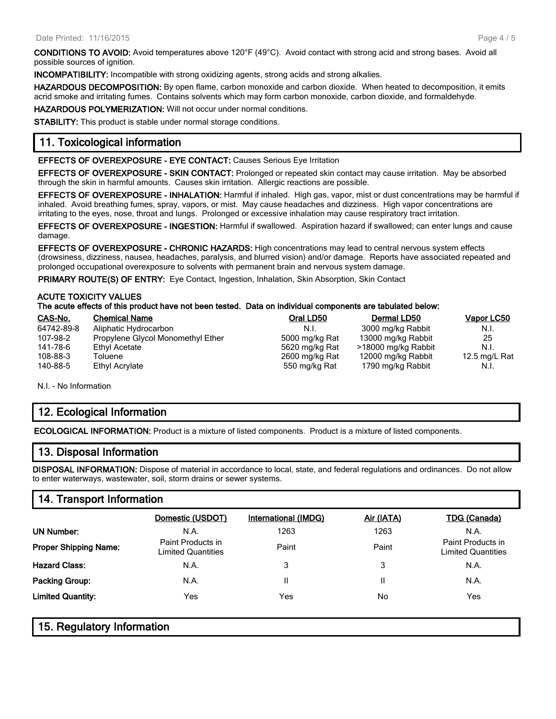**CONDITIONS TO AVOID:** Avoid temperatures above 120°F (49°C). Avoid contact with strong acid and strong bases. Avoid all possible sources of ignition.

**INCOMPATIBILITY:** Incompatible with strong oxidizing agents, strong acids and strong alkalies.

**HAZARDOUS DECOMPOSITION:** By open flame, carbon monoxide and carbon dioxide. When heated to decomposition, it emits acrid smoke and irritating fumes. Contains solvents which may form carbon monoxide, carbon dioxide, and formaldehyde.

**HAZARDOUS POLYMERIZATION:** Will not occur under normal conditions.

**STABILITY:** This product is stable under normal storage conditions.

## **11. Toxicological information**

**EFFECTS OF OVEREXPOSURE - EYE CONTACT:** Causes Serious Eye Irritation

**EFFECTS OF OVEREXPOSURE - SKIN CONTACT:** Prolonged or repeated skin contact may cause irritation. May be absorbed through the skin in harmful amounts. Causes skin irritation. Allergic reactions are possible.

**EFFECTS OF OVEREXPOSURE - INHALATION:** Harmful if inhaled. High gas, vapor, mist or dust concentrations may be harmful if inhaled. Avoid breathing fumes, spray, vapors, or mist. May cause headaches and dizziness. High vapor concentrations are irritating to the eyes, nose, throat and lungs. Prolonged or excessive inhalation may cause respiratory tract irritation.

**EFFECTS OF OVEREXPOSURE - INGESTION:** Harmful if swallowed. Aspiration hazard if swallowed; can enter lungs and cause damage.

**EFFECTS OF OVEREXPOSURE - CHRONIC HAZARDS:** High concentrations may lead to central nervous system effects (drowsiness, dizziness, nausea, headaches, paralysis, and blurred vision) and/or damage. Reports have associated repeated and prolonged occupational overexposure to solvents with permanent brain and nervous system damage.

**PRIMARY ROUTE(S) OF ENTRY:** Eye Contact, Ingestion, Inhalation, Skin Absorption, Skin Contact

#### **ACUTE TOXICITY VALUES**

#### **The acute effects of this product have not been tested. Data on individual components are tabulated below:**

| CAS-No.    | <b>Chemical Name</b>              | Oral LD50      | Dermal LD50         | Vapor LC50    |
|------------|-----------------------------------|----------------|---------------------|---------------|
| 64742-89-8 | Aliphatic Hydrocarbon             | N.I.           | 3000 mg/kg Rabbit   | N.I.          |
| 107-98-2   | Propylene Glycol Monomethyl Ether | 5000 mg/kg Rat | 13000 mg/kg Rabbit  | 25            |
| 141-78-6   | Ethyl Acetate                     | 5620 mg/kg Rat | >18000 mg/kg Rabbit | N.I.          |
| 108-88-3   | Toluene                           | 2600 mg/kg Rat | 12000 mg/kg Rabbit  | 12.5 mg/L Rat |
| 140-88-5   | Ethyl Acrylate                    | 550 mg/kg Rat  | 1790 mg/kg Rabbit   | N.I.          |

N.I. - No Information

# **12. Ecological Information**

**ECOLOGICAL INFORMATION:** Product is a mixture of listed components. Product is a mixture of listed components.

# **13. Disposal Information**

**DISPOSAL INFORMATION:** Dispose of material in accordance to local, state, and federal regulations and ordinances. Do not allow to enter waterways, wastewater, soil, storm drains or sewer systems.

# **14. Transport Information**

|                              | Domestic (USDOT)                        | International (IMDG) | <u>Air (IATA)</u> | <b>TDG (Canada)</b>                            |
|------------------------------|-----------------------------------------|----------------------|-------------------|------------------------------------------------|
| UN Number:                   | N.A.                                    | 1263                 | 1263              | N.A.                                           |
| <b>Proper Shipping Name:</b> | Paint Products in<br>Limited Quantities | Paint                | Paint             | Paint Products in<br><b>Limited Quantities</b> |
| <b>Hazard Class:</b>         | N.A.                                    | 3                    | 3                 | N.A.                                           |
| Packing Group:               | N.A.                                    |                      | Ш                 | N.A.                                           |
| <b>Limited Quantity:</b>     | Yes                                     | Yes                  | No                | Yes                                            |

# **15. Regulatory Information**